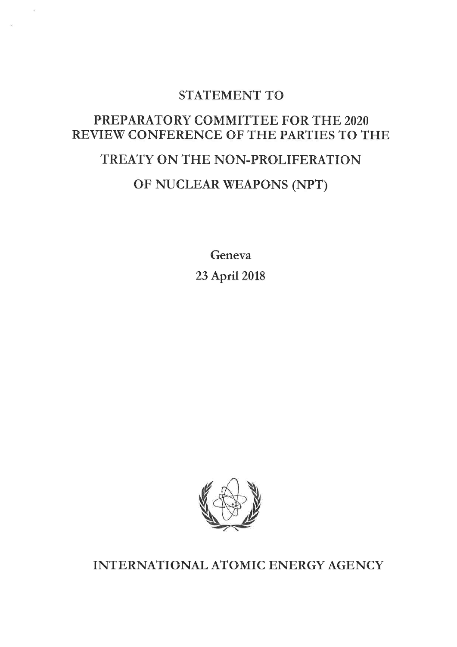### STATEMENT TO

### PREPARATORY COMMITTEE FOR THE 2020 REVIEW CONFERENCE OF THE PARTIES TO THE

# TREATY ON THE NON-PROLIFERATION

## OF NUCLEAR WEAPONS (NPT)

Geneva 23 April 2018



INTERNATIONAL ATOMIC ENERGY AGENCY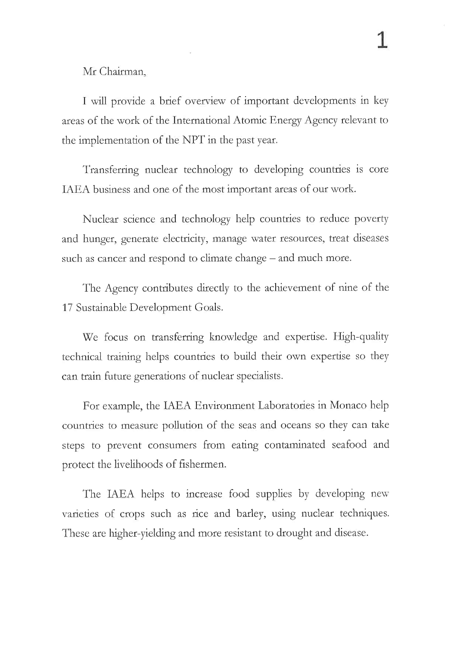Mr Chairman,

I will provide a brief overview of important developments in key areas of the work of the International Atomic Energy Agency relevant to the implementation of the NPT in the past year.

Transferring nuclear technology to developing countries is core IAEA business and one of the most important areas of our work.

Nuclear science and technology help countries to reduce poverty and hunger, generate electricity, manage water resources, treat diseases such as cancer and respond to climate change - and much more.

The Agency contributes directly to the achievement of nine of the 17 Sustainable Development Goals.

We focus on transferring knowledge and expertise. High-quality technical training helps countries to build their own expertise so they can train future generations of nuclear specialists

For example, the IAEA Environment Laboratories in Monaco help countries to measure pollution of the seas and oceans so they can take steps to prevent consumers from eating contaminated seafood and protect the livelihoods of fishermen.

The IAEA helps to increase food supplies by developing new varieties of crops such as rice and barley, using nuclear techniques. These are higher-yielding and more resistant to drought and disease.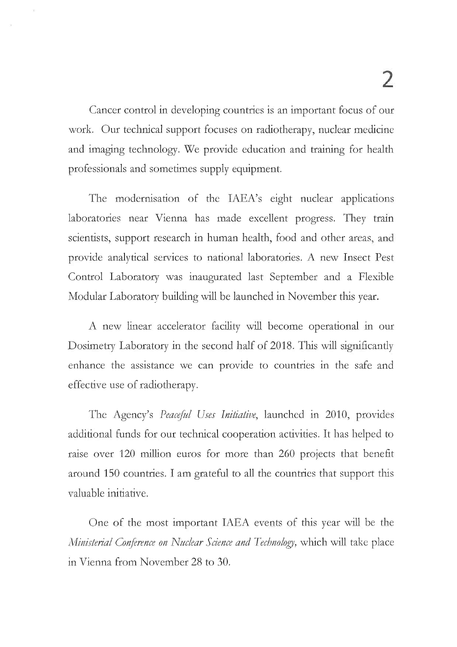Cancer control in developing countries is an important focus of our work. Our technical support focuses on radiotherapy, nuclear medicine. and imaging technology. We provide education and training for health professionals and sometimes supply equipment.

The modernisation of the IAEA's eight nuclear applications laboratories near Vienna has made excellent progress. They train scientists, support research in human health, food and other areas, and provide analytical services to national laboratories. A new Insect Pest Control Laboratory was inaugurated last September and a Flexible Modular Laboratory building will be launched in November this year.

A new linear accelerator facility will become operational in our Dosimetry Laboratory in the second half of 2018. This will significantly enhance the assistance we can provide to countries in the safe and effective use of tadiotherapy.

The Agency's Peaceful Uses Initiative, launched in 2010, provides additional funds for our technical cooperation activities. It has helped to raise over 120 million euros for more than 260 projects that benefit around 150 countries. I am grateful to all the countries that support this valuable initiative.

One of the most important IAEA events of this year will be the Ministerial Conference on Nuclear Science and Technology, which will take place in Vienna from November 28 to 30.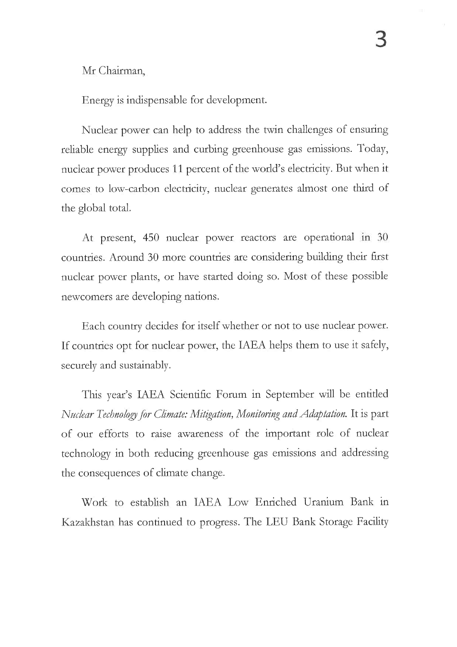Mr Chairman,

Energy is indispensable for development.

Nuclear power can help to address the twin challenges of ensuring reliable energy supplies and curbing greenhouse gas emissions. Today, nuclear power produces 11 percent of the world's electricity. But when it comes to low-carbon electricity, nuclear generates almost one third of the global total.

At present, 450 nuclear power reactors are operational in 30 countries. Around 30 more countries are considering building their first nuclear power plants, or have started doing so. Most of these possible newcomers are developing nations.

Each country decides for itself whether or not to use nuclear power. If countries opt for nuclear power, the IAEA helps them to use it safely, securely and sustainably.

This year's IAEA Scientific Forum in September will be entitled Nuclear Technology for Climate: Mitigation, Monitoring and Adaptation. It is part of our efforts to raise awareness of the important role of nuclear technology in both reducing greenhouse gas emissions and addressing the consequences of climate change.

Work to establish an IAEA Low Enriched Uranium Bank in Kazakhstan has continued to progress. The LEU Bank Storage Facility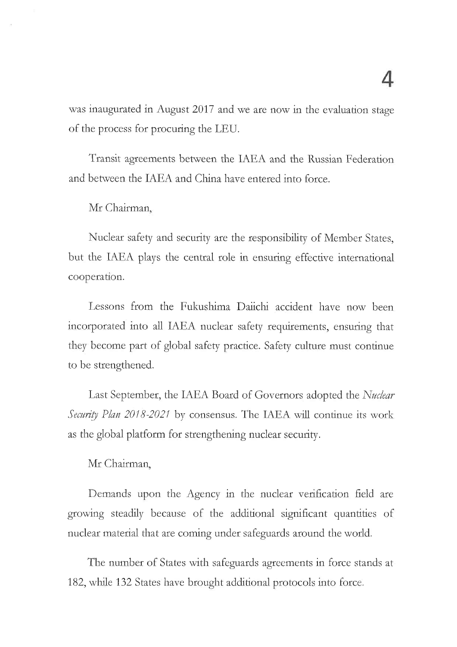was inaugurated in August 2017 and we are now in the evaluation stage of the process for procuring the LEU.

Transit agreements between the IAEA and the Russian Federation and between the IAEA and China have entered into force.

#### Mr Chairman,

Nuclear safety and security are the responsibility of Member States, but the IAEA plays the central role in ensuring effective international cooperation.

Lessons from the Fukushima Daiichi accident have now been incorporated into all IAEA nuclear safety requirements, ensuring that they become part of global safety practice. Safety culture must continue to be strengthened.

Last September, the IAEA Board of Governors adopted the Nuclear Security Plan 2018-2021 by consensus. The IAEA will continue its work as the global platform for strengthening nuclear security.

Mr Chairman,

Demands upon the Agency in the nuclear verification field are growing steadily because of the additional significant quantities of nuclear material that are coming under safeguards around the world.

The number of States with safeguards agreements in force stands at 182, while 132 States have brought additional protocols into force.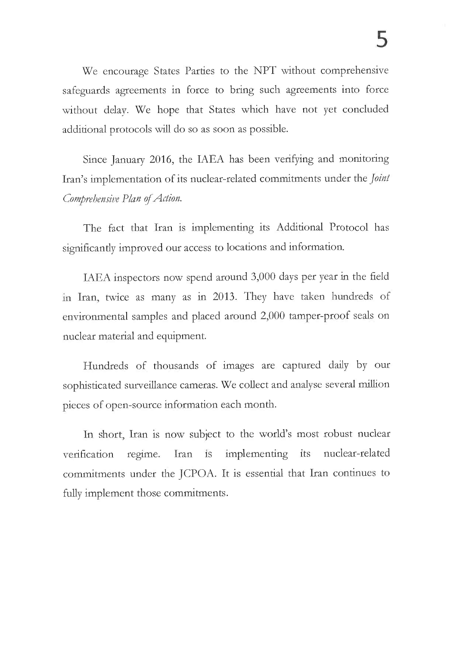We encourage States Parties to the NPT without comprehensive safeguards agreements in force to bring such agreements into force without delay. We hope that States which have not yet concluded additional protocols will do so as soon as possible.

Since January 2016, the IAEA has been verifying and monitoring Iran's implementation of its nuclear-related commitments under the *Joint* Comprehensive Plan of Action.

The fact that Iran is implementing its Additional Protocol has significantly improved our access to locations and information.

IAEA inspectors now spend around 3,000 days per year in the field in Iran, twice as many as in 2013. They have taken hundreds of environmental samples and placed around 2,000 tamper-proof seals on nuclear material and equipment.

Hundreds of thousands of images are captured daily by our sophisticated surveillance cameras. We collect and analyse several million pieces of open-source information each month.

In short, Iran is now subject to the world's most robust nuclear  $\overline{1}S$ implementing its nuclear-related verification regime. Iran commitments under the JCPOA. It is essential that Iran continues to fully implement those commitments.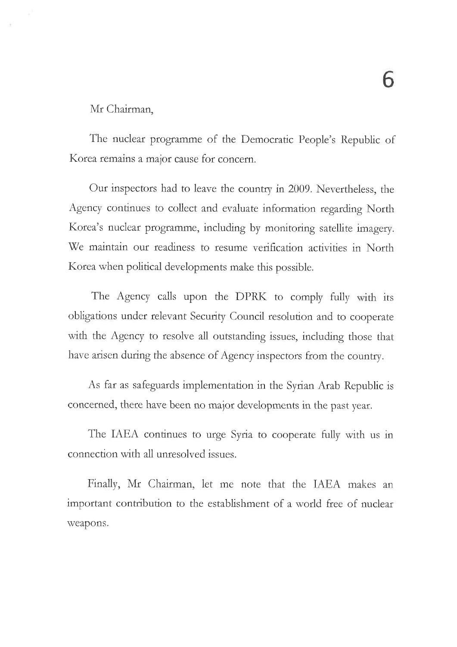#### Mr Chairman,

The nuclear programme of the Democratic People's Republic of Korea remains a major cause for concern.

Our inspectors had to leave the country in 2009. Nevertheless, the Agency continues to collect and evaluate information regarding North Korea's nuclear programme, including by monitoring satellite imagery. We maintain our readiness to resume verification activities in North Korea when political developments make this possible.

The Agency calls upon the DPRK to comply fully with its obligations under relevant Security Council resolution and to cooperate with the Agency to resolve all outstanding issues, including those that have arisen during the absence of Agency inspectors from the country.

As far as safeguards implementation in the Syrian Arab Republic is concerned, there have been no major developments in the past year.

The IAEA continues to urge Syria to cooperate fully with us in connection with all unresolved issues.

Finally, Mr Chairman, let me note that the IAEA makes an important contribution to the establishment of a world free of nuclear weapons.